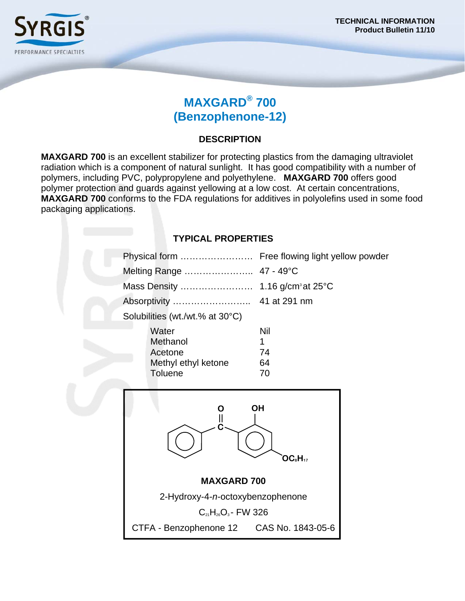

# **MAXGARD® 700 (Benzophenone-12)**

#### **DESCRIPTION**

**MAXGARD 700** is an excellent stabilizer for protecting plastics from the damaging ultraviolet radiation which is a component of natural sunlight. It has good compatibility with a number of polymers, including PVC, polypropylene and polyethylene. **MAXGARD 700** offers good polymer protection and guards against yellowing at a low cost. At certain concentrations, **MAXGARD 700** conforms to the FDA regulations for additives in polyolefins used in some food packaging applications.

| <b>TYPICAL PROPERTIES</b> |                                          |                                                 |
|---------------------------|------------------------------------------|-------------------------------------------------|
|                           |                                          | Physical form  Free flowing light yellow powder |
|                           | Melting Range                            | 47 - 49°C                                       |
|                           |                                          |                                                 |
|                           |                                          |                                                 |
|                           | Solubilities (wt./wt.% at 30°C)          |                                                 |
|                           | Water                                    | Nil                                             |
|                           | Methanol                                 | 1                                               |
|                           | Acetone<br>Methyl ethyl ketone           | 74<br>64                                        |
|                           | <b>Toluene</b>                           | 70                                              |
|                           |                                          |                                                 |
|                           | OH<br>O                                  |                                                 |
|                           | $\parallel$                              |                                                 |
|                           |                                          |                                                 |
|                           | OC <sub>s</sub> H <sub>17</sub>          |                                                 |
|                           |                                          |                                                 |
| <b>MAXGARD 700</b>        |                                          |                                                 |
|                           | 2-Hydroxy-4-n-octoxybenzophenone         |                                                 |
|                           | $C_{21}H_{26}O_3$ - FW 326               |                                                 |
|                           | CTFA - Benzophenone 12 CAS No. 1843-05-6 |                                                 |